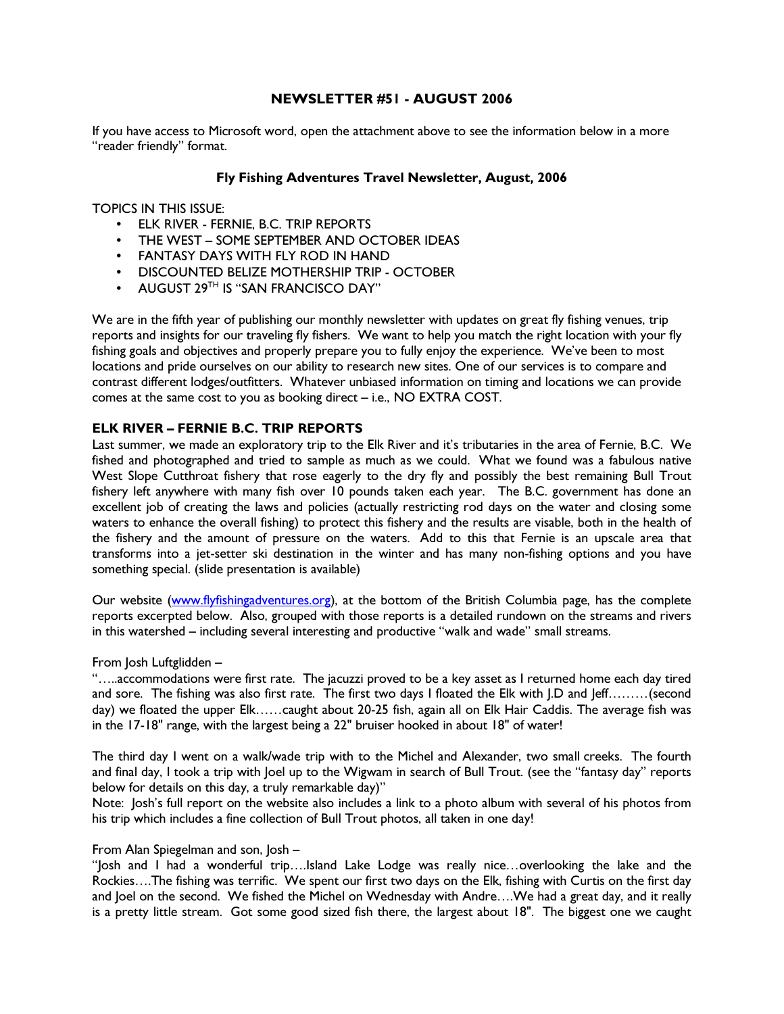### NEWSLETTER #51 - AUGUST 2006

If you have access to Microsoft word, open the attachment above to see the information below in a more "reader friendly" format.

### Fly Fishing Adventures Travel Newsletter, August, 2006

TOPICS IN THIS ISSUE:

- ELK RIVER FERNIE, B.C. TRIP REPORTS
- THE WEST SOME SEPTEMBER AND OCTOBER IDEAS
- FANTASY DAYS WITH FLY ROD IN HAND
- DISCOUNTED BELIZE MOTHERSHIP TRIP OCTOBER
- AUGUST 29<sup>TH</sup> IS "SAN FRANCISCO DAY"

We are in the fifth year of publishing our monthly newsletter with updates on great fly fishing venues, trip reports and insights for our traveling fly fishers. We want to help you match the right location with your fly fishing goals and objectives and properly prepare you to fully enjoy the experience. We've been to most locations and pride ourselves on our ability to research new sites. One of our services is to compare and contrast different lodges/outfitters. Whatever unbiased information on timing and locations we can provide comes at the same cost to you as booking direct – i.e., NO EXTRA COST.

#### ELK RIVER – FERNIE B.C. TRIP REPORTS

Last summer, we made an exploratory trip to the Elk River and it's tributaries in the area of Fernie, B.C. We fished and photographed and tried to sample as much as we could. What we found was a fabulous native West Slope Cutthroat fishery that rose eagerly to the dry fly and possibly the best remaining Bull Trout fishery left anywhere with many fish over 10 pounds taken each year. The B.C. government has done an excellent job of creating the laws and policies (actually restricting rod days on the water and closing some waters to enhance the overall fishing) to protect this fishery and the results are visable, both in the health of the fishery and the amount of pressure on the waters. Add to this that Fernie is an upscale area that transforms into a jet-setter ski destination in the winter and has many non-fishing options and you have something special. (slide presentation is available)

Our website (www.flyfishingadventures.org), at the bottom of the British Columbia page, has the complete reports excerpted below. Also, grouped with those reports is a detailed rundown on the streams and rivers in this watershed – including several interesting and productive "walk and wade" small streams.

From Josh Luftglidden –

"…..accommodations were first rate. The jacuzzi proved to be a key asset as I returned home each day tired and sore. The fishing was also first rate. The first two days I floated the Elk with J.D and Jeff………(second day) we floated the upper Elk……caught about 20-25 fish, again all on Elk Hair Caddis. The average fish was in the 17-18" range, with the largest being a 22" bruiser hooked in about 18" of water!

The third day I went on a walk/wade trip with to the Michel and Alexander, two small creeks. The fourth and final day, I took a trip with Joel up to the Wigwam in search of Bull Trout. (see the "fantasy day" reports below for details on this day, a truly remarkable day)"

Note: Josh's full report on the website also includes a link to a photo album with several of his photos from his trip which includes a fine collection of Bull Trout photos, all taken in one day!

From Alan Spiegelman and son, Josh –

"Josh and I had a wonderful trip….Island Lake Lodge was really nice…overlooking the lake and the Rockies….The fishing was terrific. We spent our first two days on the Elk, fishing with Curtis on the first day and Joel on the second. We fished the Michel on Wednesday with Andre….We had a great day, and it really is a pretty little stream. Got some good sized fish there, the largest about 18". The biggest one we caught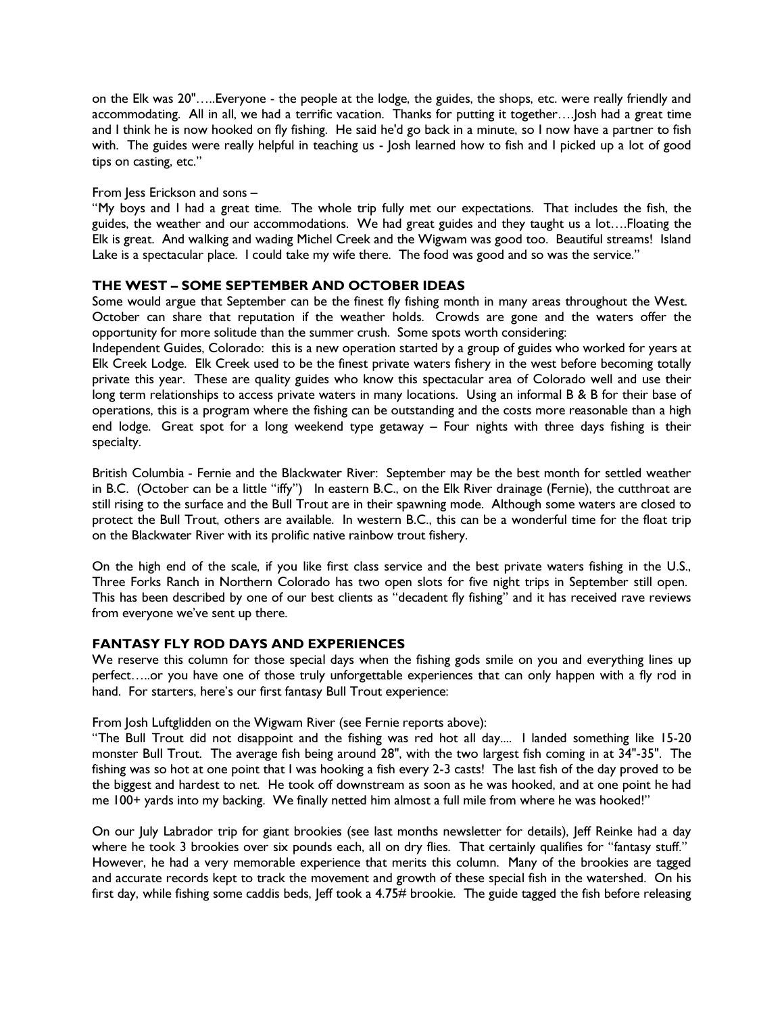on the Elk was 20"…..Everyone - the people at the lodge, the guides, the shops, etc. were really friendly and accommodating. All in all, we had a terrific vacation. Thanks for putting it together….Josh had a great time and I think he is now hooked on fly fishing. He said he'd go back in a minute, so I now have a partner to fish with. The guides were really helpful in teaching us - Josh learned how to fish and I picked up a lot of good tips on casting, etc."

#### From Jess Erickson and sons –

"My boys and I had a great time. The whole trip fully met our expectations. That includes the fish, the guides, the weather and our accommodations. We had great guides and they taught us a lot….Floating the Elk is great. And walking and wading Michel Creek and the Wigwam was good too. Beautiful streams! Island Lake is a spectacular place. I could take my wife there. The food was good and so was the service."

### THE WEST – SOME SEPTEMBER AND OCTOBER IDEAS

Some would argue that September can be the finest fly fishing month in many areas throughout the West. October can share that reputation if the weather holds. Crowds are gone and the waters offer the opportunity for more solitude than the summer crush. Some spots worth considering:

Independent Guides, Colorado: this is a new operation started by a group of guides who worked for years at Elk Creek Lodge. Elk Creek used to be the finest private waters fishery in the west before becoming totally private this year. These are quality guides who know this spectacular area of Colorado well and use their long term relationships to access private waters in many locations. Using an informal B & B for their base of operations, this is a program where the fishing can be outstanding and the costs more reasonable than a high end lodge. Great spot for a long weekend type getaway – Four nights with three days fishing is their specialty.

British Columbia - Fernie and the Blackwater River: September may be the best month for settled weather in B.C. (October can be a little "iffy") In eastern B.C., on the Elk River drainage (Fernie), the cutthroat are still rising to the surface and the Bull Trout are in their spawning mode. Although some waters are closed to protect the Bull Trout, others are available. In western B.C., this can be a wonderful time for the float trip on the Blackwater River with its prolific native rainbow trout fishery.

On the high end of the scale, if you like first class service and the best private waters fishing in the U.S., Three Forks Ranch in Northern Colorado has two open slots for five night trips in September still open. This has been described by one of our best clients as "decadent fly fishing" and it has received rave reviews from everyone we've sent up there.

# FANTASY FLY ROD DAYS AND EXPERIENCES

We reserve this column for those special days when the fishing gods smile on you and everything lines up perfect…..or you have one of those truly unforgettable experiences that can only happen with a fly rod in hand. For starters, here's our first fantasy Bull Trout experience:

From Josh Luftglidden on the Wigwam River (see Fernie reports above):

"The Bull Trout did not disappoint and the fishing was red hot all day.... I landed something like 15-20 monster Bull Trout. The average fish being around 28", with the two largest fish coming in at 34"-35". The fishing was so hot at one point that I was hooking a fish every 2-3 casts! The last fish of the day proved to be the biggest and hardest to net. He took off downstream as soon as he was hooked, and at one point he had me 100+ yards into my backing. We finally netted him almost a full mile from where he was hooked!"

On our July Labrador trip for giant brookies (see last months newsletter for details), Jeff Reinke had a day where he took 3 brookies over six pounds each, all on dry flies. That certainly qualifies for "fantasy stuff." However, he had a very memorable experience that merits this column. Many of the brookies are tagged and accurate records kept to track the movement and growth of these special fish in the watershed. On his first day, while fishing some caddis beds, Jeff took a 4.75# brookie. The guide tagged the fish before releasing